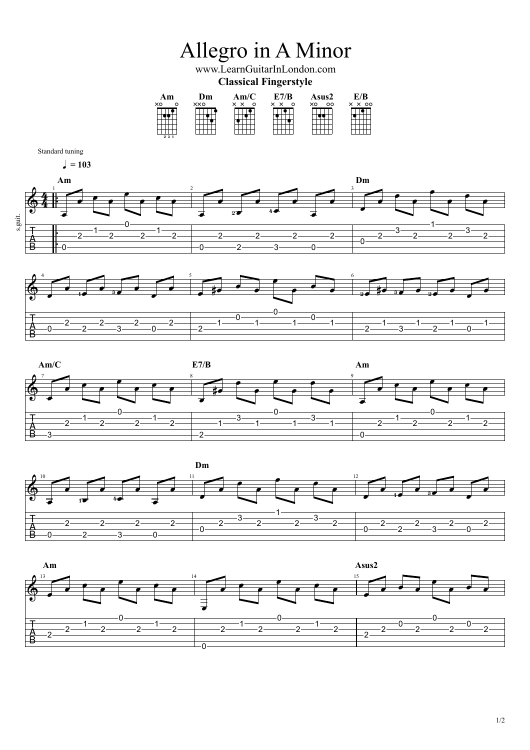









1/2